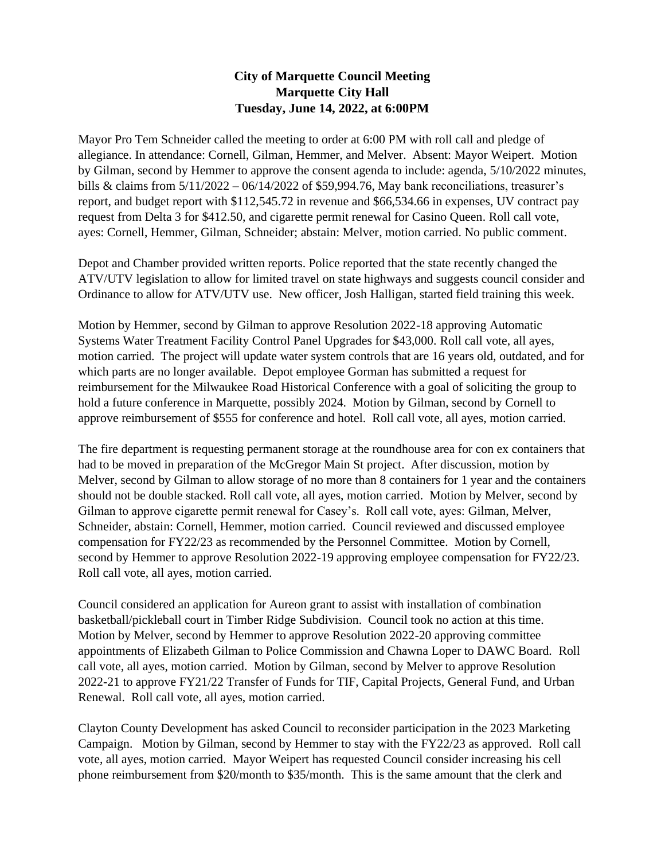## **City of Marquette Council Meeting Marquette City Hall Tuesday, June 14, 2022, at 6:00PM**

Mayor Pro Tem Schneider called the meeting to order at 6:00 PM with roll call and pledge of allegiance. In attendance: Cornell, Gilman, Hemmer, and Melver. Absent: Mayor Weipert. Motion by Gilman, second by Hemmer to approve the consent agenda to include: agenda, 5/10/2022 minutes, bills & claims from  $5/11/2022 - 06/14/2022$  of \$59,994.76, May bank reconciliations, treasurer's report, and budget report with \$112,545.72 in revenue and \$66,534.66 in expenses, UV contract pay request from Delta 3 for \$412.50, and cigarette permit renewal for Casino Queen. Roll call vote, ayes: Cornell, Hemmer, Gilman, Schneider; abstain: Melver, motion carried. No public comment.

Depot and Chamber provided written reports. Police reported that the state recently changed the ATV/UTV legislation to allow for limited travel on state highways and suggests council consider and Ordinance to allow for ATV/UTV use. New officer, Josh Halligan, started field training this week.

Motion by Hemmer, second by Gilman to approve Resolution 2022-18 approving Automatic Systems Water Treatment Facility Control Panel Upgrades for \$43,000. Roll call vote, all ayes, motion carried. The project will update water system controls that are 16 years old, outdated, and for which parts are no longer available. Depot employee Gorman has submitted a request for reimbursement for the Milwaukee Road Historical Conference with a goal of soliciting the group to hold a future conference in Marquette, possibly 2024. Motion by Gilman, second by Cornell to approve reimbursement of \$555 for conference and hotel. Roll call vote, all ayes, motion carried.

The fire department is requesting permanent storage at the roundhouse area for con ex containers that had to be moved in preparation of the McGregor Main St project. After discussion, motion by Melver, second by Gilman to allow storage of no more than 8 containers for 1 year and the containers should not be double stacked. Roll call vote, all ayes, motion carried. Motion by Melver, second by Gilman to approve cigarette permit renewal for Casey's. Roll call vote, ayes: Gilman, Melver, Schneider, abstain: Cornell, Hemmer, motion carried. Council reviewed and discussed employee compensation for FY22/23 as recommended by the Personnel Committee. Motion by Cornell, second by Hemmer to approve Resolution 2022-19 approving employee compensation for FY22/23. Roll call vote, all ayes, motion carried.

Council considered an application for Aureon grant to assist with installation of combination basketball/pickleball court in Timber Ridge Subdivision. Council took no action at this time. Motion by Melver, second by Hemmer to approve Resolution 2022-20 approving committee appointments of Elizabeth Gilman to Police Commission and Chawna Loper to DAWC Board. Roll call vote, all ayes, motion carried. Motion by Gilman, second by Melver to approve Resolution 2022-21 to approve FY21/22 Transfer of Funds for TIF, Capital Projects, General Fund, and Urban Renewal. Roll call vote, all ayes, motion carried.

Clayton County Development has asked Council to reconsider participation in the 2023 Marketing Campaign. Motion by Gilman, second by Hemmer to stay with the FY22/23 as approved. Roll call vote, all ayes, motion carried. Mayor Weipert has requested Council consider increasing his cell phone reimbursement from \$20/month to \$35/month. This is the same amount that the clerk and